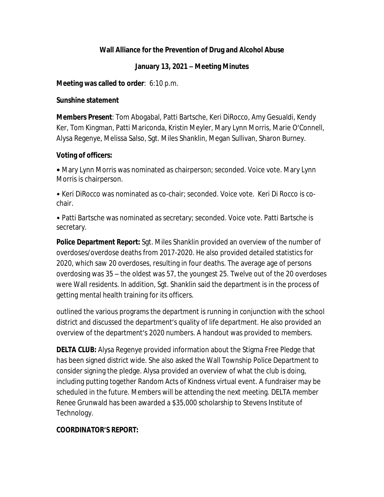## **Wall Alliance for the Prevention of Drug and Alcohol Abuse**

### **January 13, 2021 – Meeting Minutes**

#### **Meeting was called to order**: 6:10 p.m.

#### **Sunshine statement**

**Members Present**: Tom Abogabal, Patti Bartsche, Keri DiRocco, Amy Gesualdi, Kendy Ker, Tom Kingman, Patti Mariconda, Kristin Meyler, Mary Lynn Morris, Marie O'Connell, Alysa Regenye, Melissa Salso, Sgt. Miles Shanklin, Megan Sullivan, Sharon Burney.

## **Voting of officers:**

**•** Mary Lynn Morris was nominated as chairperson; seconded. Voice vote. Mary Lynn Morris is chairperson.

• Keri DiRocco was nominated as co-chair; seconded. Voice vote. Keri Di Rocco is cochair.

• Patti Bartsche was nominated as secretary; seconded. Voice vote. Patti Bartsche is secretary.

**Police Department Report:** Sgt. Miles Shanklin provided an overview of the number of overdoses/overdose deaths from 2017-2020. He also provided detailed statistics for 2020, which saw 20 overdoses, resulting in four deaths. The average age of persons overdosing was 35 – the oldest was 57, the youngest 25. Twelve out of the 20 overdoses were Wall residents. In addition, Sgt. Shanklin said the department is in the process of getting mental health training for its officers.

outlined the various programs the department is running in conjunction with the school district and discussed the department's quality of life department. He also provided an overview of the department's 2020 numbers. A handout was provided to members.

**DELTA CLUB:** Alysa Regenye provided information about the Stigma Free Pledge that has been signed district wide. She also asked the Wall Township Police Department to consider signing the pledge. Alysa provided an overview of what the club is doing, including putting together Random Acts of Kindness virtual event. A fundraiser may be scheduled in the future. Members will be attending the next meeting. DELTA member Renee Grunwald has been awarded a \$35,000 scholarship to Stevens Institute of Technology.

# **COORDINATOR'S REPORT:**